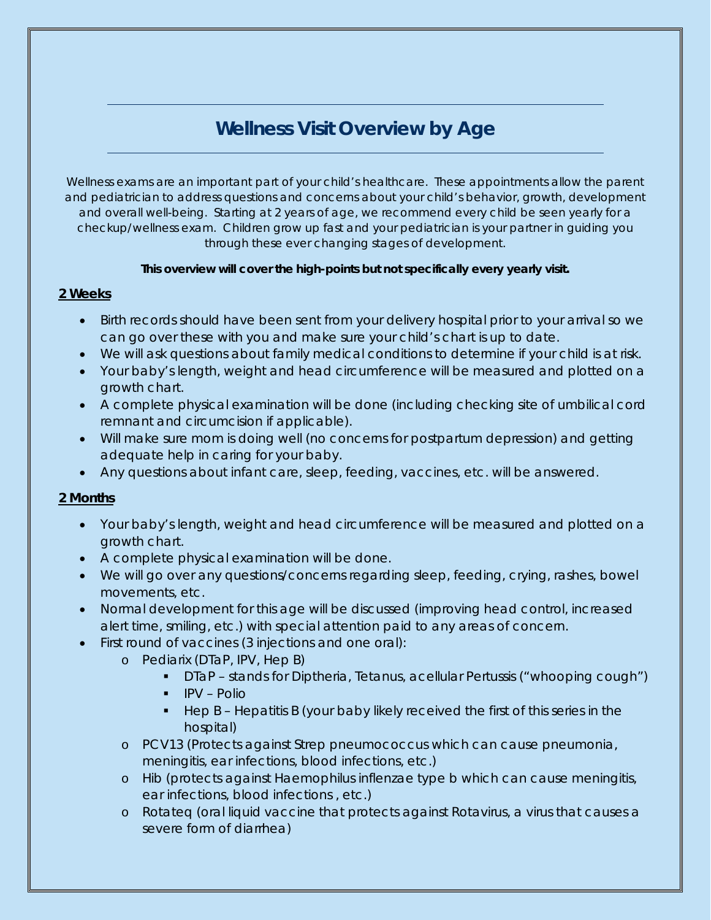# *Wellness Visit Overview by Age*

Wellness exams are an important part of your child's healthcare. These appointments allow the parent and pediatrician to address questions and concerns about your child's behavior, growth, development and overall well-being. Starting at 2 years of age, we recommend every child be seen yearly for a checkup/wellness exam. Children grow up fast and your pediatrician is your partner in guiding you through these ever changing stages of development.

#### **This overview will cover the high-points but not specifically every yearly visit.**

## **2 Weeks**

- Birth records should have been sent from your delivery hospital prior to your arrival so we can go over these with you and make sure your child's chart is up to date.
- We will ask questions about family medical conditions to determine if your child is at risk.
- Your baby's length, weight and head circumference will be measured and plotted on a growth chart.
- A complete physical examination will be done (including checking site of umbilical cord remnant and circumcision if applicable).
- Will make sure mom is doing well (no concerns for postpartum depression) and getting adequate help in caring for your baby.
- Any questions about infant care, sleep, feeding, vaccines, etc. will be answered.

## **2 Months**

- Your baby's length, weight and head circumference will be measured and plotted on a growth chart.
- A complete physical examination will be done.
- We will go over any questions/concerns regarding sleep, feeding, crying, rashes, bowel movements, etc.
- Normal development for this age will be discussed (improving head control, increased alert time, smiling, etc.) with special attention paid to any areas of concern.
- First round of vaccines (3 injections and one oral):
	- o Pediarix (DTaP, IPV, Hep B)
		- DTaP stands for Diptheria, Tetanus, acellular Pertussis ("whooping cough")
		- $IPV -$  Polio
		- Hep B Hepatitis B (your baby likely received the first of this series in the hospital)
	- o PCV13 (Protects against Strep pneumococcus which can cause pneumonia, meningitis, ear infections, blood infections, etc.)
	- o Hib (protects against Haemophilus inflenzae type b which can cause meningitis, ear infections, blood infections , etc.)
	- o Rotateq (oral liquid vaccine that protects against Rotavirus, a virus that causes a severe form of diarrhea)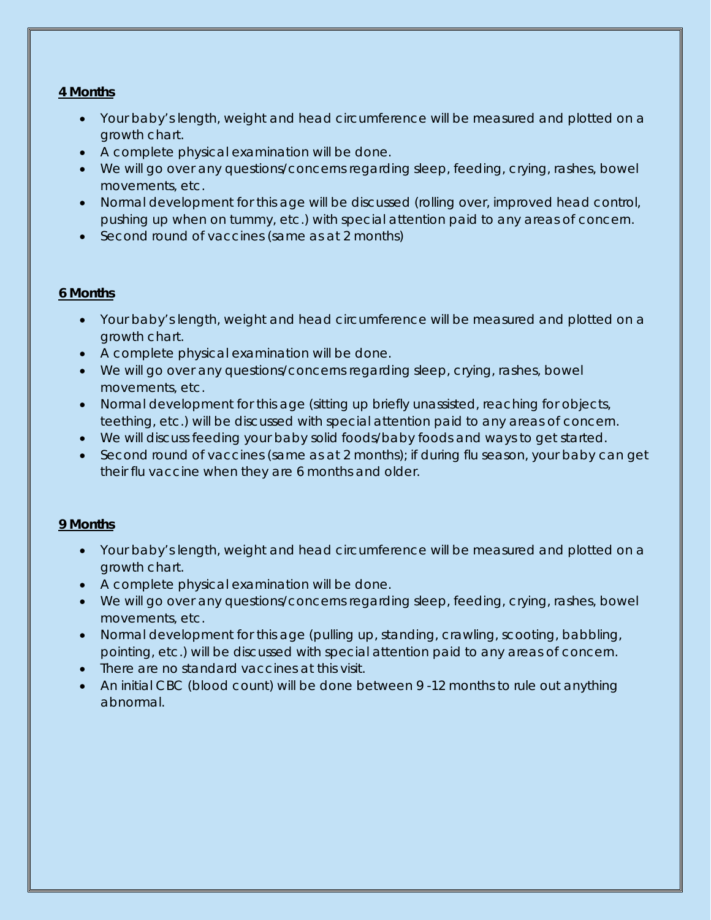#### **4 Months**

- Your baby's length, weight and head circumference will be measured and plotted on a growth chart.
- A complete physical examination will be done.
- We will go over any questions/concerns regarding sleep, feeding, crying, rashes, bowel movements, etc.
- Normal development for this age will be discussed (rolling over, improved head control, pushing up when on tummy, etc.) with special attention paid to any areas of concern.
- Second round of vaccines (same as at 2 months)

## **6 Months**

- Your baby's length, weight and head circumference will be measured and plotted on a growth chart.
- A complete physical examination will be done.
- We will go over any questions/concerns regarding sleep, crying, rashes, bowel movements, etc.
- Normal development for this age (sitting up briefly unassisted, reaching for objects, teething, etc.) will be discussed with special attention paid to any areas of concern.
- We will discuss feeding your baby solid foods/baby foods and ways to get started.
- Second round of vaccines (same as at 2 months); if during flu season, your baby can get their flu vaccine when they are 6 months and older.

## **9 Months**

- Your baby's length, weight and head circumference will be measured and plotted on a growth chart.
- A complete physical examination will be done.
- We will go over any questions/concerns regarding sleep, feeding, crying, rashes, bowel movements, etc.
- Normal development for this age (pulling up, standing, crawling, scooting, babbling, pointing, etc.) will be discussed with special attention paid to any areas of concern.
- There are no standard vaccines at this visit.
- An initial CBC (blood count) will be done between 9 -12 months to rule out anything abnormal.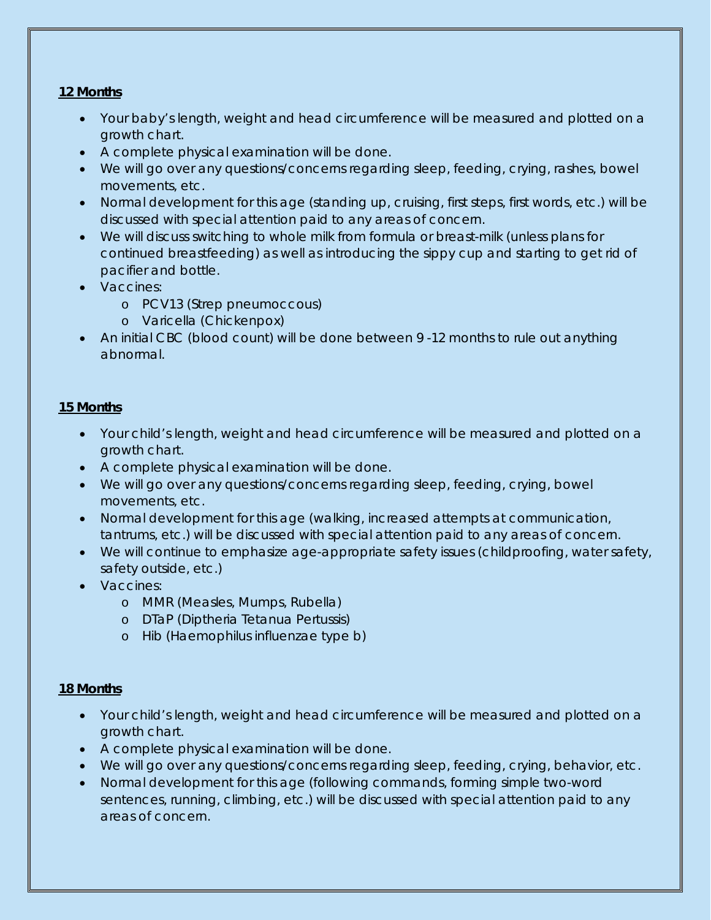## **12 Months**

- Your baby's length, weight and head circumference will be measured and plotted on a growth chart.
- A complete physical examination will be done.
- We will go over any questions/concerns regarding sleep, feeding, crying, rashes, bowel movements, etc.
- Normal development for this age (standing up, cruising, first steps, first words, etc.) will be discussed with special attention paid to any areas of concern.
- We will discuss switching to whole milk from formula or breast-milk (unless plans for continued breastfeeding) as well as introducing the sippy cup and starting to get rid of pacifier and bottle.
- Vaccines:
	- o PCV13 (Strep pneumoccous)
	- o Varicella (Chickenpox)
- An initial CBC (blood count) will be done between 9 -12 months to rule out anything abnormal.

## **15 Months**

- Your child's length, weight and head circumference will be measured and plotted on a growth chart.
- A complete physical examination will be done.
- We will go over any questions/concerns regarding sleep, feeding, crying, bowel movements, etc.
- Normal development for this age (walking, increased attempts at communication, tantrums, etc.) will be discussed with special attention paid to any areas of concern.
- We will continue to emphasize age-appropriate safety issues (childproofing, water safety, safety outside, etc.)
- Vaccines:
	- o MMR (Measles, Mumps, Rubella)
	- o DTaP (Diptheria Tetanua Pertussis)
	- o Hib (Haemophilus influenzae type b)

## **18 Months**

- Your child's length, weight and head circumference will be measured and plotted on a growth chart.
- A complete physical examination will be done.
- We will go over any questions/concerns regarding sleep, feeding, crying, behavior, etc.
- Normal development for this age (following commands, forming simple two-word sentences, running, climbing, etc.) will be discussed with special attention paid to any areas of concern.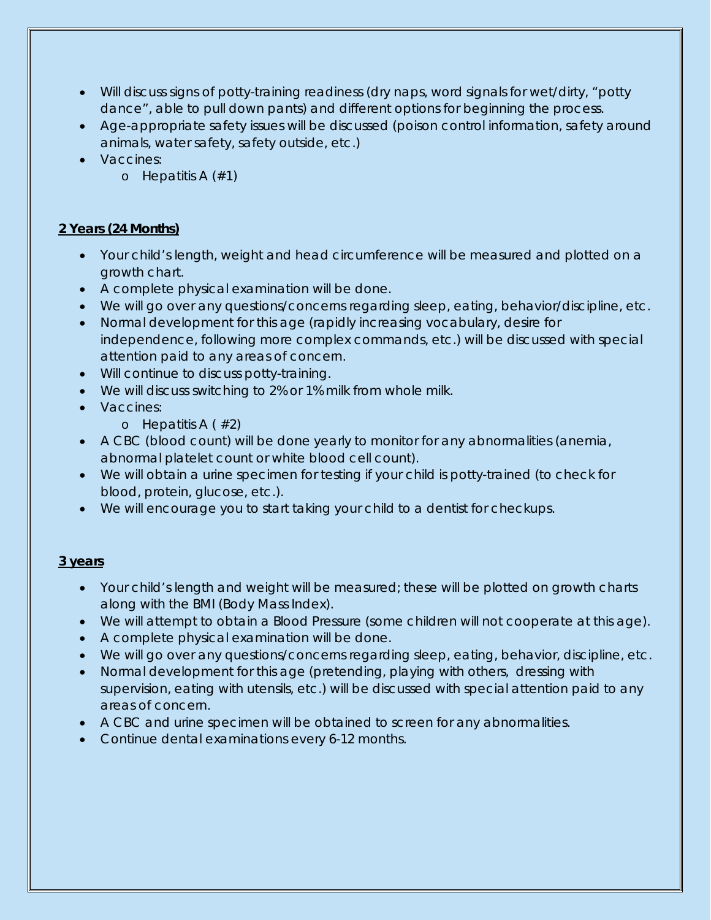- Will discuss signs of potty-training readiness (dry naps, word signals for wet/dirty, "potty dance", able to pull down pants) and different options for beginning the process.
- Age-appropriate safety issues will be discussed (poison control information, safety around animals, water safety, safety outside, etc.)
- Vaccines:
	- o Hepatitis A  $(\#1)$

# **2 Years (24 Months)**

- Your child's length, weight and head circumference will be measured and plotted on a growth chart.
- A complete physical examination will be done.
- We will go over any questions/concerns regarding sleep, eating, behavior/discipline, etc.
- Normal development for this age (rapidly increasing vocabulary, desire for independence, following more complex commands, etc.) will be discussed with special attention paid to any areas of concern.
- Will continue to discuss potty-training.
- We will discuss switching to 2% or 1% milk from whole milk.
- Vaccines:
	- o Hepatitis  $A \neq 2$
- A CBC (blood count) will be done yearly to monitor for any abnormalities (anemia, abnormal platelet count or white blood cell count).
- We will obtain a urine specimen for testing if your child is potty-trained (to check for blood, protein, glucose, etc.).
- We will encourage you to start taking your child to a dentist for checkups.

## **3 years**

- Your child's length and weight will be measured; these will be plotted on growth charts along with the BMI (Body Mass Index).
- We will attempt to obtain a Blood Pressure (some children will not cooperate at this age).
- A complete physical examination will be done.
- We will go over any questions/concerns regarding sleep, eating, behavior, discipline, etc.
- Normal development for this age (pretending, playing with others, dressing with supervision, eating with utensils, etc.) will be discussed with special attention paid to any areas of concern.
- A CBC and urine specimen will be obtained to screen for any abnormalities.
- Continue dental examinations every 6-12 months.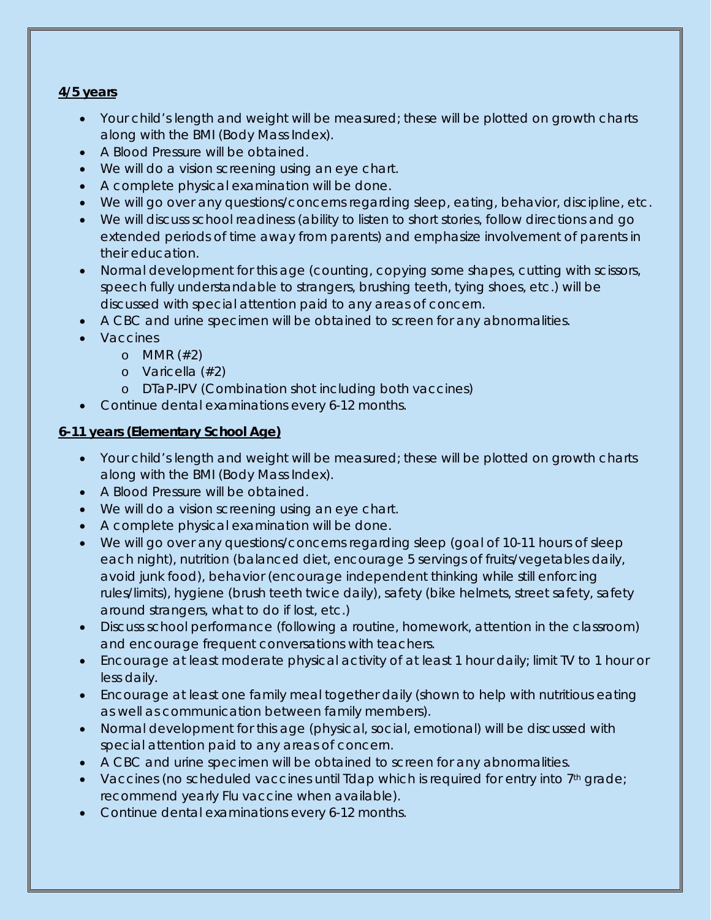## **4/5 years**

- Your child's length and weight will be measured; these will be plotted on growth charts along with the BMI (Body Mass Index).
- A Blood Pressure will be obtained.
- We will do a vision screening using an eye chart.
- A complete physical examination will be done.
- We will go over any questions/concerns regarding sleep, eating, behavior, discipline, etc.
- We will discuss school readiness (ability to listen to short stories, follow directions and go extended periods of time away from parents) and emphasize involvement of parents in their education.
- Normal development for this age (counting, copying some shapes, cutting with scissors, speech fully understandable to strangers, brushing teeth, tying shoes, etc.) will be discussed with special attention paid to any areas of concern.
- A CBC and urine specimen will be obtained to screen for any abnormalities.
- Vaccines
	- o MMR (#2)
	- o Varicella (#2)
	- o DTaP-IPV (Combination shot including both vaccines)
- Continue dental examinations every 6-12 months.

## **6-11 years (Elementary School Age)**

- Your child's length and weight will be measured; these will be plotted on growth charts along with the BMI (Body Mass Index).
- A Blood Pressure will be obtained.
- We will do a vision screening using an eye chart.
- A complete physical examination will be done.
- We will go over any questions/concerns regarding sleep (goal of 10-11 hours of sleep each night), nutrition (balanced diet, encourage 5 servings of fruits/vegetables daily, avoid junk food), behavior (encourage independent thinking while still enforcing rules/limits), hygiene (brush teeth twice daily), safety (bike helmets, street safety, safety around strangers, what to do if lost, etc.)
- Discuss school performance (following a routine, homework, attention in the classroom) and encourage frequent conversations with teachers.
- Encourage at least moderate physical activity of at least 1 hour daily; limit TV to 1 hour or less daily.
- Encourage at least one family meal together daily (shown to help with nutritious eating as well as communication between family members).
- Normal development for this age (physical, social, emotional) will be discussed with special attention paid to any areas of concern.
- A CBC and urine specimen will be obtained to screen for any abnormalities.
- Vaccines (no scheduled vaccines until  $Idap$  which is required for entry into  $7<sup>th</sup>$  grade; recommend yearly Flu vaccine when available).
- Continue dental examinations every 6-12 months.